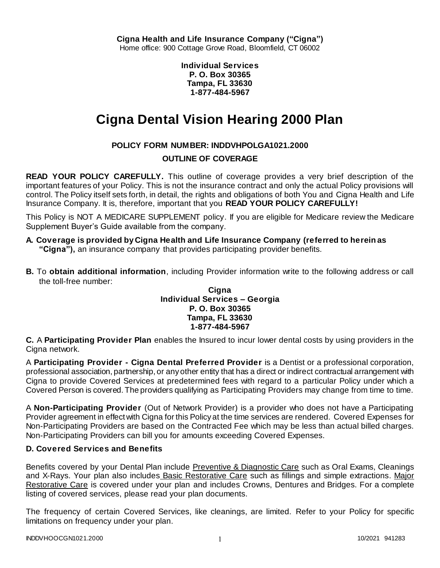**Individual Services P. O. Box 30365 Tampa, FL 33630 1-877-484-5967**

# **Cigna Dental Vision Hearing 2000 Plan**

# **POLICY FORM NUMBER: INDDVHPOLGA1021.2000**

# **OUTLINE OF COVERAGE**

**READ YOUR POLICY CAREFULLY.** This outline of coverage provides a very brief description of the important features of your Policy. This is not the insurance contract and only the actual Policy provisions will control. The Policy itself sets forth, in detail, the rights and obligations of both You and Cigna Health and Life Insurance Company. It is, therefore, important that you **READ YOUR POLICY CAREFULLY!** 

This Policy is NOT A MEDICARE SUPPLEMENT policy. If you are eligible for Medicare review the Medicare Supplement Buyer's Guide available from the company.

- **A. Coverage is provided by Cigna Health and Life Insurance Company (referred to herein as "Cigna"),** an insurance company that provides participating provider benefits.
- **B.** To **obtain additional information**, including Provider information write to the following address or call the toll-free number:

## **Cigna Individual Services – Georgia P. O. Box 30365 Tampa, FL 33630 1-877-484-5967**

**C.** A **Participating Provider Plan** enables the Insured to incur lower dental costs by using providers in the Cigna network.

A **Participating Provider - Cigna Dental Preferred Provider** is a Dentist or a professional corporation, professional association, partnership, or any other entity that has a direct or indirect contractual arrangement with Cigna to provide Covered Services at predetermined fees with regard to a particular Policy under which a Covered Person is covered. The providers qualifying as Participating Providers may change from time to time.

A **Non-Participating Provider** (Out of Network Provider) is a provider who does not have a Participating Provider agreement in effect with Cigna for this Policy at the time services are rendered. Covered Expenses for Non-Participating Providers are based on the Contracted Fee which may be less than actual billed charges. Non-Participating Providers can bill you for amounts exceeding Covered Expenses.

# **D. Covered Services and Benefits**

Benefits covered by your Dental Plan include Preventive & Diagnostic Care such as Oral Exams, Cleanings and X-Rays. Your plan also includes Basic Restorative Care such as fillings and simple extractions. Major Restorative Care is covered under your plan and includes Crowns, Dentures and Bridges. For a complete listing of covered services, please read your plan documents.

The frequency of certain Covered Services, like cleanings, are limited. Refer to your Policy for specific limitations on frequency under your plan.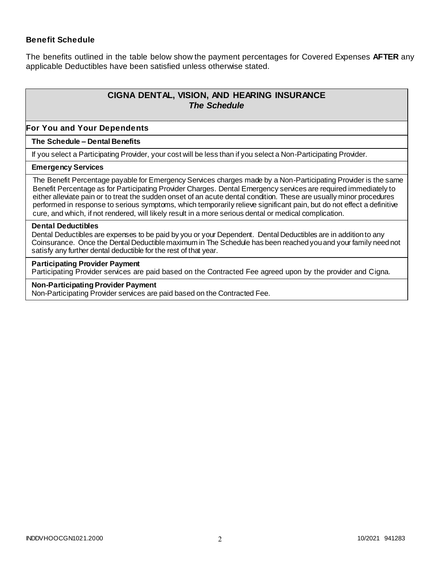## **Benefit Schedule**

The benefits outlined in the table below show the payment percentages for Covered Expenses **AFTER** any applicable Deductibles have been satisfied unless otherwise stated.

# **CIGNA DENTAL, VISION, AND HEARING INSURANCE** *The Schedule*

#### **For You and Your Dependents**

#### **The Schedule – Dental Benefits**

If you select a Participating Provider, your cost will be less than if you select a Non-Participating Provider.

#### **Emergency Services**

The Benefit Percentage payable for Emergency Services charges made by a Non-Participating Provider is the same Benefit Percentage as for Participating Provider Charges. Dental Emergency services are required immediately to either alleviate pain or to treat the sudden onset of an acute dental condition. These are usually minor procedures performed in response to serious symptoms, which temporarily relieve significant pain, but do not effect a definitive cure, and which, if not rendered, will likely result in a more serious dental or medical complication.

#### **Dental Deductibles**

Dental Deductibles are expenses to be paid by you or your Dependent. Dental Deductibles are in addition to any Coinsurance. Once the Dental Deductible maximum in The Schedule has been reached you and your family need not satisfy any further dental deductible for the rest of that year.

#### **Participating Provider Payment**

Participating Provider services are paid based on the Contracted Fee agreed upon by the provider and Cigna.

## **Non-Participating Provider Payment**

Non-Participating Provider services are paid based on the Contracted Fee.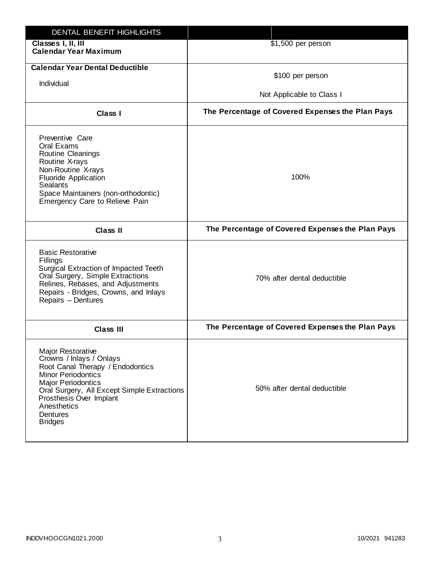| DENTAL BENEFIT HIGHLIGHTS                                                                                                                                                                                                                                          |                                                  |
|--------------------------------------------------------------------------------------------------------------------------------------------------------------------------------------------------------------------------------------------------------------------|--------------------------------------------------|
| Classes I, II, III<br><b>Calendar Year Maximum</b>                                                                                                                                                                                                                 | \$1,500 per person                               |
| <b>Calendar Year Dental Deductible</b><br>Individual                                                                                                                                                                                                               | \$100 per person<br>Not Applicable to Class I    |
| Class I                                                                                                                                                                                                                                                            | The Percentage of Covered Expenses the Plan Pays |
| Preventive Care<br>Oral Exams<br>Routine Cleanings<br>Routine X-rays<br>Non-Routine X-rays<br><b>Fluoride Application</b><br><b>Sealants</b><br>Space Maintainers (non-orthodontic)<br>Emergency Care to Relieve Pain                                              | 100%                                             |
| <b>Class II</b>                                                                                                                                                                                                                                                    | The Percentage of Covered Expenses the Plan Pays |
| <b>Basic Restorative</b><br>Fillings<br>Surgical Extraction of Impacted Teeth<br>Oral Surgery, Simple Extractions<br>Relines, Rebases, and Adjustments<br>Repairs - Bridges, Crowns, and Inlays<br>Repairs - Dentures                                              | 70% after dental deductible                      |
| <b>Class III</b>                                                                                                                                                                                                                                                   | The Percentage of Covered Expenses the Plan Pays |
| Major Restorative<br>Crowns / Inlays / Onlays<br>Root Canal Therapy / Endodontics<br><b>Minor Periodontics</b><br><b>Major Periodontics</b><br>Oral Surgery, All Except Simple Extractions<br>Prosthesis Over Implant<br>Anesthetics<br>Dentures<br><b>Bridges</b> | 50% after dental deductible                      |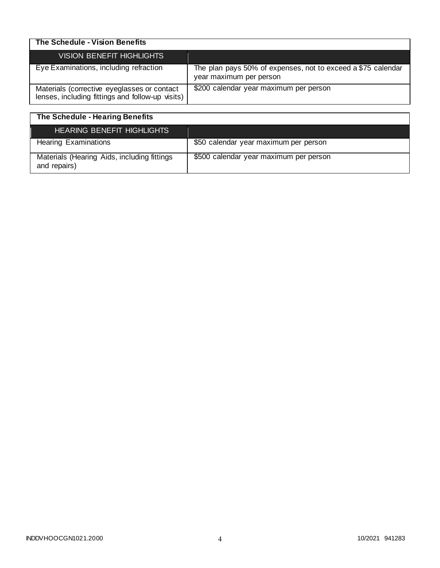| The Schedule - Vision Benefits                                                                  |                                                                                         |
|-------------------------------------------------------------------------------------------------|-----------------------------------------------------------------------------------------|
| VISION BENEFIT HIGHLIGHTS                                                                       |                                                                                         |
| Eye Examinations, including refraction                                                          | The plan pays 50% of expenses, not to exceed a \$75 calendar<br>year maximum per person |
| Materials (corrective eyeglasses or contact<br>lenses, including fittings and follow-up visits) | \$200 calendar year maximum per person                                                  |

| The Schedule - Hearing Benefits                             |                                        |
|-------------------------------------------------------------|----------------------------------------|
| <b>HEARING BENEFIT HIGHLIGHTS</b>                           |                                        |
| <b>Hearing Examinations</b>                                 | \$50 calendar year maximum per person  |
| Materials (Hearing Aids, including fittings<br>and repairs) | \$500 calendar year maximum per person |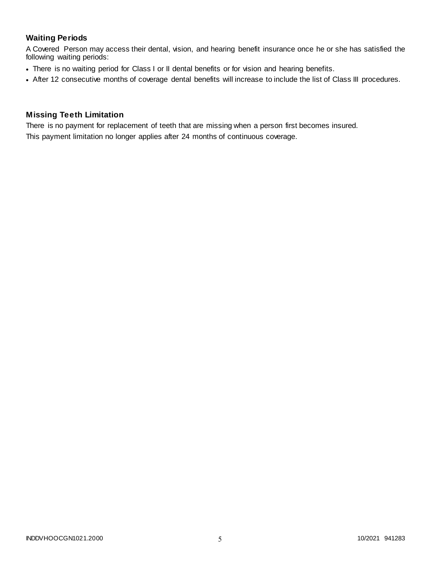## **Waiting Periods**

A Covered Person may access their dental, vision, and hearing benefit insurance once he or she has satisfied the following waiting periods:

- There is no waiting period for Class I or II dental benefits or for vision and hearing benefits.
- After 12 consecutive months of coverage dental benefits will increase to include the list of Class III procedures.

#### **Missing Teeth Limitation**

There is no payment for replacement of teeth that are missing when a person first becomes insured. This payment limitation no longer applies after 24 months of continuous coverage.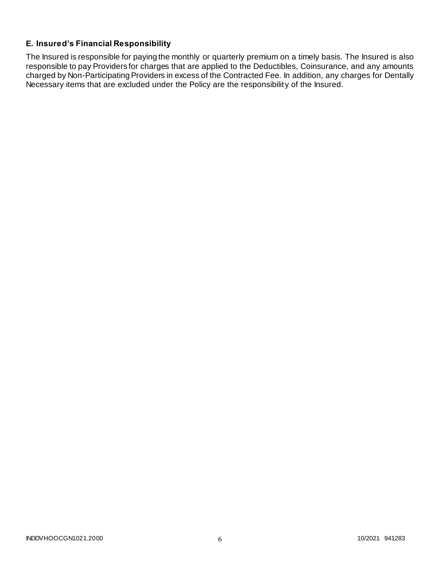# **E. Insured's Financial Responsibility**

The Insured is responsible for paying the monthly or quarterly premium on a timely basis. The Insured is also responsible to pay Providers for charges that are applied to the Deductibles, Coinsurance, and any amounts charged by Non-Participating Providers in excess of the Contracted Fee. In addition, any charges for Dentally Necessary items that are excluded under the Policy are the responsibility of the Insured.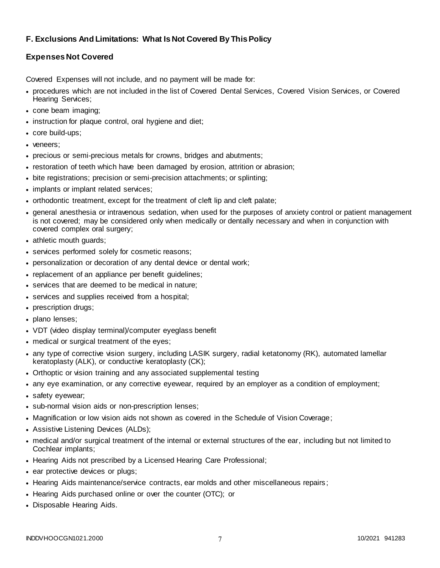## **F. Exclusions And Limitations: What Is Not Covered By This Policy**

## **Expenses Not Covered**

Covered Expenses will not include, and no payment will be made for:

- procedures which are not included in the list of Covered Dental Services, Covered Vision Services, or Covered Hearing Services;
- cone beam imaging;
- instruction for plaque control, oral hygiene and diet;
- core build-ups;
- veneers:
- precious or semi-precious metals for crowns, bridges and abutments;
- restoration of teeth which have been damaged by erosion, attrition or abrasion;
- bite registrations; precision or semi-precision attachments; or splinting;
- implants or implant related services;
- orthodontic treatment, except for the treatment of cleft lip and cleft palate;
- general anesthesia or intravenous sedation, when used for the purposes of anxiety control or patient management is not covered; may be considered only when medically or dentally necessary and when in conjunction with covered complex oral surgery;
- athletic mouth guards;
- services performed solely for cosmetic reasons;
- personalization or decoration of any dental device or dental work;
- replacement of an appliance per benefit guidelines;
- services that are deemed to be medical in nature;
- services and supplies received from a hospital;
- prescription drugs;
- plano lenses;
- VDT (video display terminal)/computer eyeglass benefit
- medical or surgical treatment of the eyes;
- any type of corrective vision surgery, including LASIK surgery, radial ketatonomy (RK), automated lamellar keratoplasty (ALK), or conductive keratoplasty (CK);
- Orthoptic or vision training and any associated supplemental testing
- any eye examination, or any corrective eyewear, required by an employer as a condition of employment;
- safety eyewear;
- sub-normal vision aids or non-prescription lenses;
- Magnification or low vision aids not shown as covered in the Schedule of Vision Coverage;
- Assistive Listening Devices (ALDs);
- medical and/or surgical treatment of the internal or external structures of the ear, including but not limited to Cochlear implants;
- Hearing Aids not prescribed by a Licensed Hearing Care Professional;
- ear protective devices or plugs;
- Hearing Aids maintenance/service contracts, ear molds and other miscellaneous repairs;
- Hearing Aids purchased online or over the counter (OTC); or
- Disposable Hearing Aids.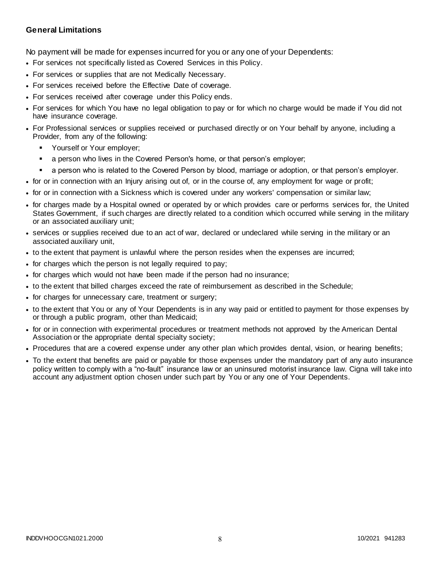## **General Limitations**

No payment will be made for expenses incurred for you or any one of your Dependents:

- For services not specifically listed as Covered Services in this Policy.
- For services or supplies that are not Medically Necessary.
- For services received before the Effective Date of coverage.
- For services received after coverage under this Policy ends.
- For services for which You have no legal obligation to pay or for which no charge would be made if You did not have insurance coverage.
- For Professional services or supplies received or purchased directly or on Your behalf by anyone, including a Provider, from any of the following:
	- Yourself or Your employer;
	- a person who lives in the Covered Person's home, or that person's employer;
	- a person who is related to the Covered Person by blood, marriage or adoption, or that person's employer.
- for or in connection with an Injury arising out of, or in the course of, any employment for wage or profit;
- for or in connection with a Sickness which is covered under any workers' compensation or similar law;
- for charges made by a Hospital owned or operated by or which provides care or performs services for, the United States Government, if such charges are directly related to a condition which occurred while serving in the military or an associated auxiliary unit;
- services or supplies received due to an act of war, declared or undeclared while serving in the military or an associated auxiliary unit,
- to the extent that payment is unlawful where the person resides when the expenses are incurred;
- for charges which the person is not legally required to pay;
- for charges which would not have been made if the person had no insurance;
- to the extent that billed charges exceed the rate of reimbursement as described in the Schedule;
- for charges for unnecessary care, treatment or surgery;
- to the extent that You or any of Your Dependents is in any way paid or entitled to payment for those expenses by or through a public program, other than Medicaid;
- for or in connection with experimental procedures or treatment methods not approved by the American Dental Association or the appropriate dental specialty society;
- Procedures that are a covered expense under any other plan which provides dental, vision, or hearing benefits;
- To the extent that benefits are paid or payable for those expenses under the mandatory part of any auto insurance policy written to comply with a "no-fault" insurance law or an uninsured motorist insurance law. Cigna will take into account any adjustment option chosen under such part by You or any one of Your Dependents.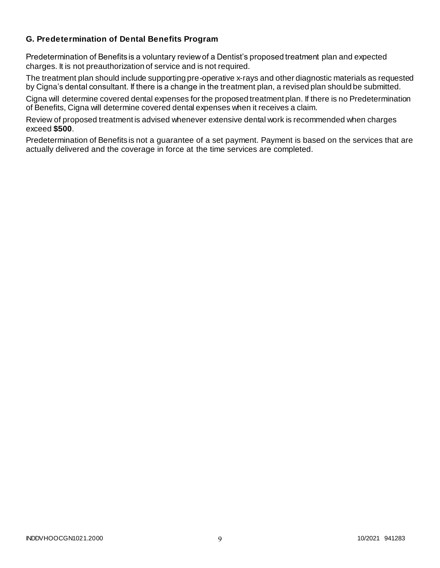## **G. Predetermination of Dental Benefits Program**

Predetermination of Benefits is a voluntary review of a Dentist's proposed treatment plan and expected charges. It is not preauthorization of service and is not required.

The treatment plan should include supporting pre-operative x-rays and other diagnostic materials as requested by Cigna's dental consultant. If there is a change in the treatment plan, a revised plan should be submitted.

Cigna will determine covered dental expenses for the proposed treatment plan. If there is no Predetermination of Benefits, Cigna will determine covered dental expenses when it receives a claim.

Review of proposed treatment is advised whenever extensive dental work is recommended when charges exceed **\$500**.

Predetermination of Benefits is not a guarantee of a set payment. Payment is based on the services that are actually delivered and the coverage in force at the time services are completed.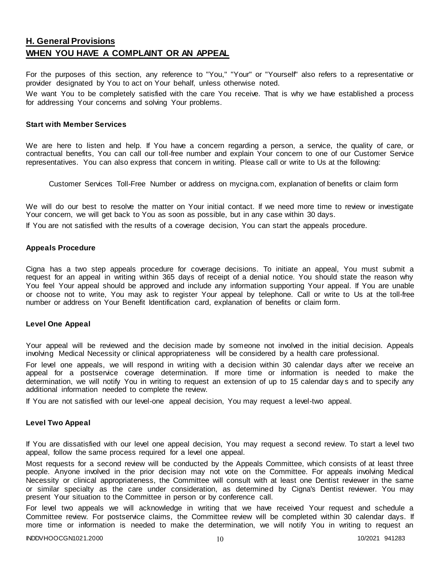# **H. General Provisions WHEN YOU HAVE A COMPLAINT OR AN APPEAL**

For the purposes of this section, any reference to "You," "Your" or "Yourself" also refers to a representative or provider designated by You to act on Your behalf, unless otherwise noted.

We want You to be completely satisfied with the care You receive. That is why we have established a process for addressing Your concerns and solving Your problems.

#### **Start with Member Services**

We are here to listen and help. If You have a concern regarding a person, a service, the quality of care, or contractual benefits, You can call our toll-free number and explain Your concern to one of our Customer Service representatives. You can also express that concern in writing. Please call or write to Us at the following:

Customer Services Toll-Free Number or address on mycigna.com, explanation of benefits or claim form

We will do our best to resolve the matter on Your initial contact. If we need more time to review or investigate Your concern, we will get back to You as soon as possible, but in any case within 30 days.

If You are not satisfied with the results of a coverage decision, You can start the appeals procedure.

#### **Appeals Procedure**

Cigna has a two step appeals procedure for coverage decisions. To initiate an appeal, You must submit a request for an appeal in writing within 365 days of receipt of a denial notice. You should state the reason why You feel Your appeal should be approved and include any information supporting Your appeal. If You are unable or choose not to write, You may ask to register Your appeal by telephone. Call or write to Us at the toll-free number or address on Your Benefit Identification card, explanation of benefits or claim form.

#### **Level One Appeal**

Your appeal will be reviewed and the decision made by someone not involved in the initial decision. Appeals involving Medical Necessity or clinical appropriateness will be considered by a health care professional.

For level one appeals, we will respond in writing with a decision within 30 calendar days after we receive an appeal for a postservice coverage determination. If more time or information is needed to make the determination, we will notify You in writing to request an extension of up to 15 calendar day s and to specify any additional information needed to complete the review.

If You are not satisfied with our level-one appeal decision, You may request a level-two appeal.

#### **Level Two Appeal**

If You are dissatisfied with our level one appeal decision, You may request a second review. To start a level two appeal, follow the same process required for a level one appeal.

Most requests for a second review will be conducted by the Appeals Committee, which consists of at least three people. Anyone involved in the prior decision may not vote on the Committee. For appeals involving Medical Necessity or clinical appropriateness, the Committee will consult with at least one Dentist reviewer in the same or similar specialty as the care under consideration, as determined by Cigna's Dentist reviewer. You may present Your situation to the Committee in person or by conference call.

For level two appeals we will acknowledge in writing that we have received Your request and schedule a Committee review. For postservice claims, the Committee review will be completed within 30 calendar days. If more time or information is needed to make the determination, we will notify You in writing to request an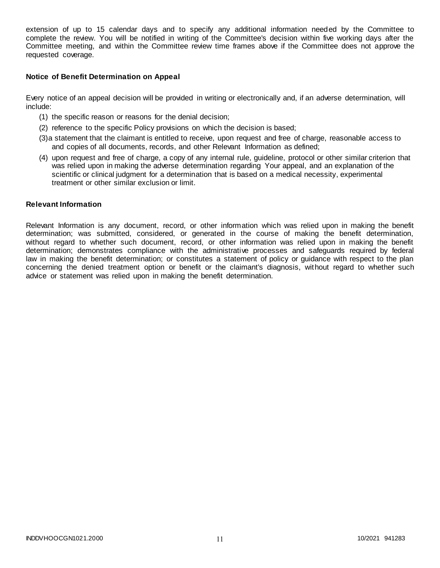extension of up to 15 calendar days and to specify any additional information needed by the Committee to complete the review. You will be notified in writing of the Committee's decision within five working days after the Committee meeting, and within the Committee review time frames above if the Committee does not approve the requested coverage.

#### **Notice of Benefit Determination on Appeal**

Every notice of an appeal decision will be provided in writing or electronically and, if an adverse determination, will include:

- (1) the specific reason or reasons for the denial decision;
- (2) reference to the specific Policy provisions on which the decision is based;
- (3)a statement that the claimant is entitled to receive, upon request and free of charge, reasonable access to and copies of all documents, records, and other Relevant Information as defined;
- (4) upon request and free of charge, a copy of any internal rule, guideline, protocol or other similar criterion that was relied upon in making the adverse determination regarding Your appeal, and an explanation of the scientific or clinical judgment for a determination that is based on a medical necessity, experimental treatment or other similar exclusion or limit.

#### **Relevant Information**

Relevant Information is any document, record, or other information which was relied upon in making the benefit determination; was submitted, considered, or generated in the course of making the benefit determination, without regard to whether such document, record, or other information was relied upon in making the benefit determination; demonstrates compliance with the administrative processes and safeguards required by federal law in making the benefit determination; or constitutes a statement of policy or guidance with respect to the plan concerning the denied treatment option or benefit or the claimant's diagnosis, without regard to whether such advice or statement was relied upon in making the benefit determination.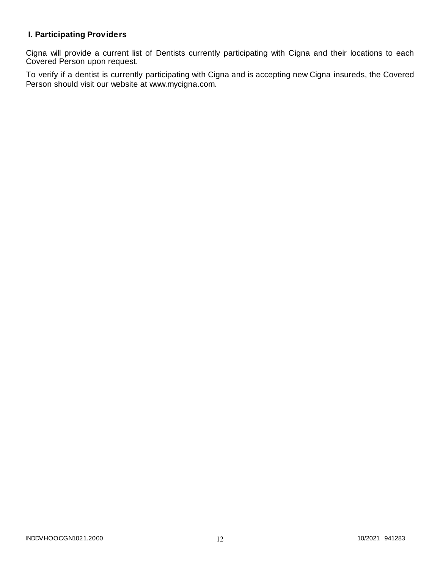# **I. Participating Providers**

Cigna will provide a current list of Dentists currently participating with Cigna and their locations to each Covered Person upon request.

To verify if a dentist is currently participating with Cigna and is accepting new Cigna insureds, the Covered Person should visit our website at www.mycigna.com.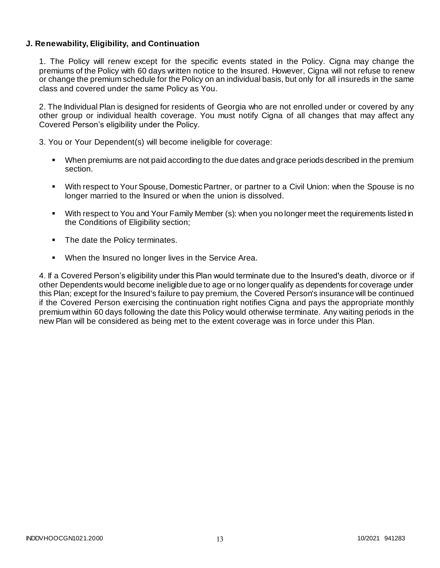## **J. Renewability, Eligibility, and Continuation**

1. The Policy will renew except for the specific events stated in the Policy. Cigna may change the premiums of the Policy with 60 days written notice to the Insured. However, Cigna will not refuse to renew or change the premium schedule for the Policy on an individual basis, but only for all insureds in the same class and covered under the same Policy as You.

2. The Individual Plan is designed for residents of Georgia who are not enrolled under or covered by any other group or individual health coverage. You must notify Cigna of all changes that may affect any Covered Person's eligibility under the Policy.

3. You or Your Dependent(s) will become ineligible for coverage:

- When premiums are not paid according to the due dates and grace periods described in the premium section.
- With respect to Your Spouse, Domestic Partner, or partner to a Civil Union: when the Spouse is no longer married to the Insured or when the union is dissolved.
- With respect to You and Your Family Member (s): when you no longer meet the requirements listed in the Conditions of Eligibility section;
- The date the Policy terminates.
- **When the Insured no longer lives in the Service Area.**

4. If a Covered Person's eligibility under this Plan would terminate due to the Insured's death, divorce or if other Dependents would become ineligible due to age or no longer qualify as dependents for coverage under this Plan; except for the Insured's failure to pay premium, the Covered Person's insurance will be continued if the Covered Person exercising the continuation right notifies Cigna and pays the appropriate monthly premium within 60 days following the date this Policy would otherwise terminate. Any waiting periods in the new Plan will be considered as being met to the extent coverage was in force under this Plan.